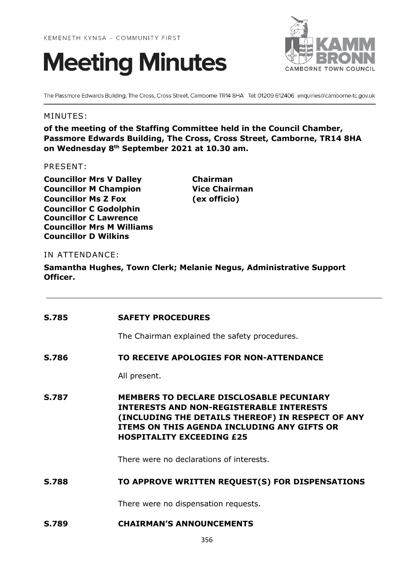



The Passmore Edwards Building, The Cross, Cross Street, Camborne TR14 8HA Tel: 01209 612406 enquiries@camborne-tc.gov.uk

### MINUTES:

**of the meeting of the Staffing Committee held in the Council Chamber, Passmore Edwards Building, The Cross, Cross Street, Camborne, TR14 8HA on Wednesday 8th September 2021 at 10.30 am.**

#### PRESENT:

**Councillor Mrs V Dalley Chairman Councillor M Champion Vice Chairman Councillor Ms Z Fox (ex officio) Councillor C Godolphin Councillor C Lawrence Councillor Mrs M Williams Councillor D Wilkins**

### IN ATTENDANCE:

**Samantha Hughes, Town Clerk; Melanie Negus, Administrative Support Officer.**

| <b>S.785</b> | <b>SAFETY PROCEDURES</b>                                                                                                                                                                                                                   |
|--------------|--------------------------------------------------------------------------------------------------------------------------------------------------------------------------------------------------------------------------------------------|
|              | The Chairman explained the safety procedures.                                                                                                                                                                                              |
| S.786        | TO RECEIVE APOLOGIES FOR NON-ATTENDANCE                                                                                                                                                                                                    |
|              | All present.                                                                                                                                                                                                                               |
| <b>S.787</b> | <b>MEMBERS TO DECLARE DISCLOSABLE PECUNIARY</b><br><b>INTERESTS AND NON-REGISTERABLE INTERESTS</b><br>(INCLUDING THE DETAILS THEREOF) IN RESPECT OF ANY<br>ITEMS ON THIS AGENDA INCLUDING ANY GIFTS OR<br><b>HOSPITALITY EXCEEDING £25</b> |
|              | There were no declarations of interests.                                                                                                                                                                                                   |
| <b>S.788</b> | TO APPROVE WRITTEN REQUEST(S) FOR DISPENSATIONS                                                                                                                                                                                            |
|              | There were no dispensation requests.                                                                                                                                                                                                       |
| <b>S.789</b> | <b>CHAIRMAN'S ANNOUNCEMENTS</b>                                                                                                                                                                                                            |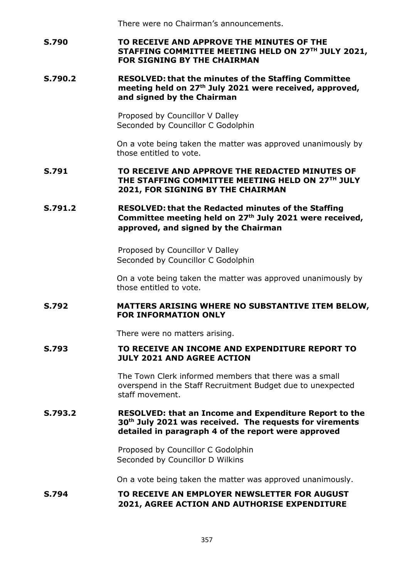There were no Chairman's announcements.

## **S.790 TO RECEIVE AND APPROVE THE MINUTES OF THE STAFFING COMMITTEE MEETING HELD ON 27TH JULY 2021, FOR SIGNING BY THE CHAIRMAN**

#### **S.790.2 RESOLVED: that the minutes of the Staffing Committee meeting held on 27th July 2021 were received, approved, and signed by the Chairman**

Proposed by Councillor V Dalley Seconded by Councillor C Godolphin

On a vote being taken the matter was approved unanimously by those entitled to vote.

### **S.791 TO RECEIVE AND APPROVE THE REDACTED MINUTES OF THE STAFFING COMMITTEE MEETING HELD ON 27TH JULY 2021, FOR SIGNING BY THE CHAIRMAN**

## **S.791.2 RESOLVED: that the Redacted minutes of the Staffing Committee meeting held on 27th July 2021 were received, approved, and signed by the Chairman**

Proposed by Councillor V Dalley Seconded by Councillor C Godolphin

On a vote being taken the matter was approved unanimously by those entitled to vote.

## **S.792 MATTERS ARISING WHERE NO SUBSTANTIVE ITEM BELOW, FOR INFORMATION ONLY**

There were no matters arising.

### **S.793 TO RECEIVE AN INCOME AND EXPENDITURE REPORT TO JULY 2021 AND AGREE ACTION**

The Town Clerk informed members that there was a small overspend in the Staff Recruitment Budget due to unexpected staff movement.

### **S.793.2 RESOLVED: that an Income and Expenditure Report to the 30th July 2021 was received. The requests for virements detailed in paragraph 4 of the report were approved**

Proposed by Councillor C Godolphin Seconded by Councillor D Wilkins

On a vote being taken the matter was approved unanimously.

## **S.794 TO RECEIVE AN EMPLOYER NEWSLETTER FOR AUGUST 2021, AGREE ACTION AND AUTHORISE EXPENDITURE**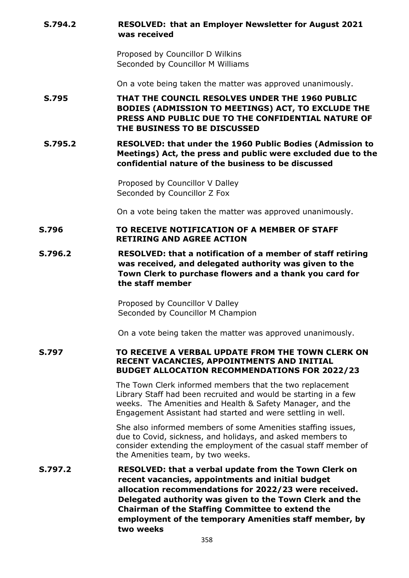### **S.794.2 RESOLVED: that an Employer Newsletter for August 2021 was received**

Proposed by Councillor D Wilkins Seconded by Councillor M Williams

On a vote being taken the matter was approved unanimously.

# **S.795 THAT THE COUNCIL RESOLVES UNDER THE 1960 PUBLIC BODIES (ADMISSION TO MEETINGS) ACT, TO EXCLUDE THE PRESS AND PUBLIC DUE TO THE CONFIDENTIAL NATURE OF THE BUSINESS TO BE DISCUSSED**

**S.795.2 RESOLVED: that under the 1960 Public Bodies (Admission to Meetings) Act, the press and public were excluded due to the confidential nature of the business to be discussed**

> Proposed by Councillor V Dalley Seconded by Councillor Z Fox

On a vote being taken the matter was approved unanimously.

### **S.796 TO RECEIVE NOTIFICATION OF A MEMBER OF STAFF RETIRING AND AGREE ACTION**

**S.796.2 RESOLVED: that a notification of a member of staff retiring was received, and delegated authority was given to the Town Clerk to purchase flowers and a thank you card for the staff member**

> Proposed by Councillor V Dalley Seconded by Councillor M Champion

On a vote being taken the matter was approved unanimously.

**S.797 TO RECEIVE A VERBAL UPDATE FROM THE TOWN CLERK ON RECENT VACANCIES, APPOINTMENTS AND INITIAL BUDGET ALLOCATION RECOMMENDATIONS FOR 2022/23**

> The Town Clerk informed members that the two replacement Library Staff had been recruited and would be starting in a few weeks. The Amenities and Health & Safety Manager, and the Engagement Assistant had started and were settling in well.

She also informed members of some Amenities staffing issues, due to Covid, sickness, and holidays, and asked members to consider extending the employment of the casual staff member of the Amenities team, by two weeks.

**S.797.2 RESOLVED: that a verbal update from the Town Clerk on recent vacancies, appointments and initial budget allocation recommendations for 2022/23 were received. Delegated authority was given to the Town Clerk and the Chairman of the Staffing Committee to extend the employment of the temporary Amenities staff member, by two weeks**